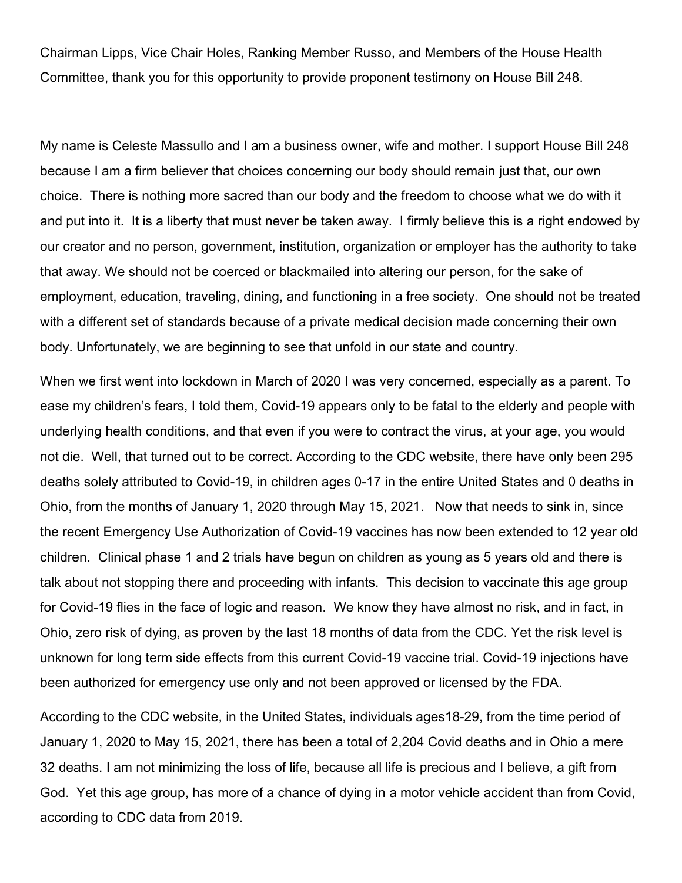Chairman Lipps, Vice Chair Holes, Ranking Member Russo, and Members of the House Health Committee, thank you for this opportunity to provide proponent testimony on House Bill 248.

My name is Celeste Massullo and I am a business owner, wife and mother. I support House Bill 248 because I am a firm believer that choices concerning our body should remain just that, our own choice. There is nothing more sacred than our body and the freedom to choose what we do with it and put into it. It is a liberty that must never be taken away. I firmly believe this is a right endowed by our creator and no person, government, institution, organization or employer has the authority to take that away. We should not be coerced or blackmailed into altering our person, for the sake of employment, education, traveling, dining, and functioning in a free society. One should not be treated with a different set of standards because of a private medical decision made concerning their own body. Unfortunately, we are beginning to see that unfold in our state and country.

When we first went into lockdown in March of 2020 I was very concerned, especially as a parent. To ease my children's fears, I told them, Covid-19 appears only to be fatal to the elderly and people with underlying health conditions, and that even if you were to contract the virus, at your age, you would not die. Well, that turned out to be correct. According to the CDC website, there have only been 295 deaths solely attributed to Covid-19, in children ages 0-17 in the entire United States and 0 deaths in Ohio, from the months of January 1, 2020 through May 15, 2021. Now that needs to sink in, since the recent Emergency Use Authorization of Covid-19 vaccines has now been extended to 12 year old children. Clinical phase 1 and 2 trials have begun on children as young as 5 years old and there is talk about not stopping there and proceeding with infants. This decision to vaccinate this age group for Covid-19 flies in the face of logic and reason. We know they have almost no risk, and in fact, in Ohio, zero risk of dying, as proven by the last 18 months of data from the CDC. Yet the risk level is unknown for long term side effects from this current Covid-19 vaccine trial. Covid-19 injections have been authorized for emergency use only and not been approved or licensed by the FDA.

According to the CDC website, in the United States, individuals ages18-29, from the time period of January 1, 2020 to May 15, 2021, there has been a total of 2,204 Covid deaths and in Ohio a mere 32 deaths. I am not minimizing the loss of life, because all life is precious and I believe, a gift from God. Yet this age group, has more of a chance of dying in a motor vehicle accident than from Covid, according to CDC data from 2019.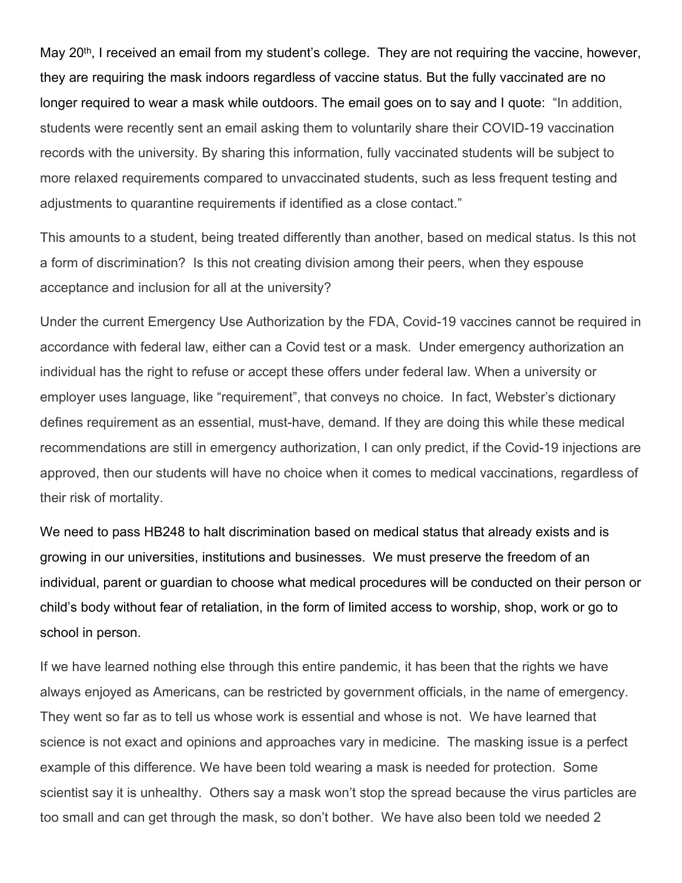May 20<sup>th</sup>, I received an email from my student's college. They are not requiring the vaccine, however, they are requiring the mask indoors regardless of vaccine status. But the fully vaccinated are no longer required to wear a mask while outdoors. The email goes on to say and I quote: "In addition, students were recently sent an email asking them to voluntarily share their COVID-19 vaccination records with the university. By sharing this information, fully vaccinated students will be subject to more relaxed requirements compared to unvaccinated students, such as less frequent testing and adjustments to quarantine requirements if identified as a close contact."

This amounts to a student, being treated differently than another, based on medical status. Is this not a form of discrimination? Is this not creating division among their peers, when they espouse acceptance and inclusion for all at the university?

Under the current Emergency Use Authorization by the FDA, Covid-19 vaccines cannot be required in accordance with federal law, either can a Covid test or a mask. Under emergency authorization an individual has the right to refuse or accept these offers under federal law. When a university or employer uses language, like "requirement", that conveys no choice. In fact, Webster's dictionary defines requirement as an essential, must-have, demand. If they are doing this while these medical recommendations are still in emergency authorization, I can only predict, if the Covid-19 injections are approved, then our students will have no choice when it comes to medical vaccinations, regardless of their risk of mortality.

We need to pass HB248 to halt discrimination based on medical status that already exists and is growing in our universities, institutions and businesses. We must preserve the freedom of an individual, parent or guardian to choose what medical procedures will be conducted on their person or child's body without fear of retaliation, in the form of limited access to worship, shop, work or go to school in person.

If we have learned nothing else through this entire pandemic, it has been that the rights we have always enjoyed as Americans, can be restricted by government officials, in the name of emergency. They went so far as to tell us whose work is essential and whose is not. We have learned that science is not exact and opinions and approaches vary in medicine. The masking issue is a perfect example of this difference. We have been told wearing a mask is needed for protection. Some scientist say it is unhealthy. Others say a mask won't stop the spread because the virus particles are too small and can get through the mask, so don't bother. We have also been told we needed 2